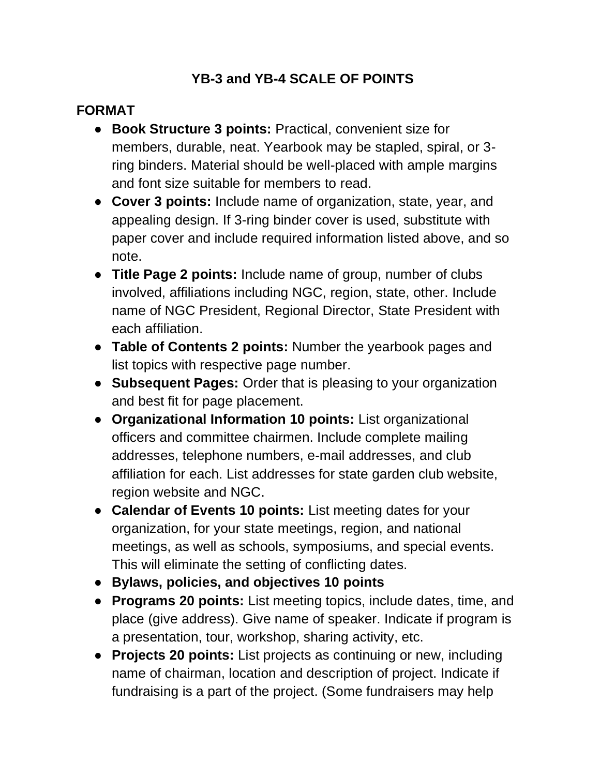## **YB-3 and YB-4 SCALE OF POINTS**

## **FORMAT**

- **Book Structure 3 points:** Practical, convenient size for members, durable, neat. Yearbook may be stapled, spiral, or 3 ring binders. Material should be well-placed with ample margins and font size suitable for members to read.
- **Cover 3 points:** Include name of organization, state, year, and appealing design. If 3-ring binder cover is used, substitute with paper cover and include required information listed above, and so note.
- **Title Page 2 points:** Include name of group, number of clubs involved, affiliations including NGC, region, state, other. Include name of NGC President, Regional Director, State President with each affiliation.
- **Table of Contents 2 points:** Number the yearbook pages and list topics with respective page number.
- **Subsequent Pages:** Order that is pleasing to your organization and best fit for page placement.
- **Organizational Information 10 points:** List organizational officers and committee chairmen. Include complete mailing addresses, telephone numbers, e-mail addresses, and club affiliation for each. List addresses for state garden club website, region website and NGC.
- **Calendar of Events 10 points:** List meeting dates for your organization, for your state meetings, region, and national meetings, as well as schools, symposiums, and special events. This will eliminate the setting of conflicting dates.
- **Bylaws, policies, and objectives 10 points**
- **Programs 20 points:** List meeting topics, include dates, time, and place (give address). Give name of speaker. Indicate if program is a presentation, tour, workshop, sharing activity, etc.
- **Projects 20 points:** List projects as continuing or new, including name of chairman, location and description of project. Indicate if fundraising is a part of the project. (Some fundraisers may help